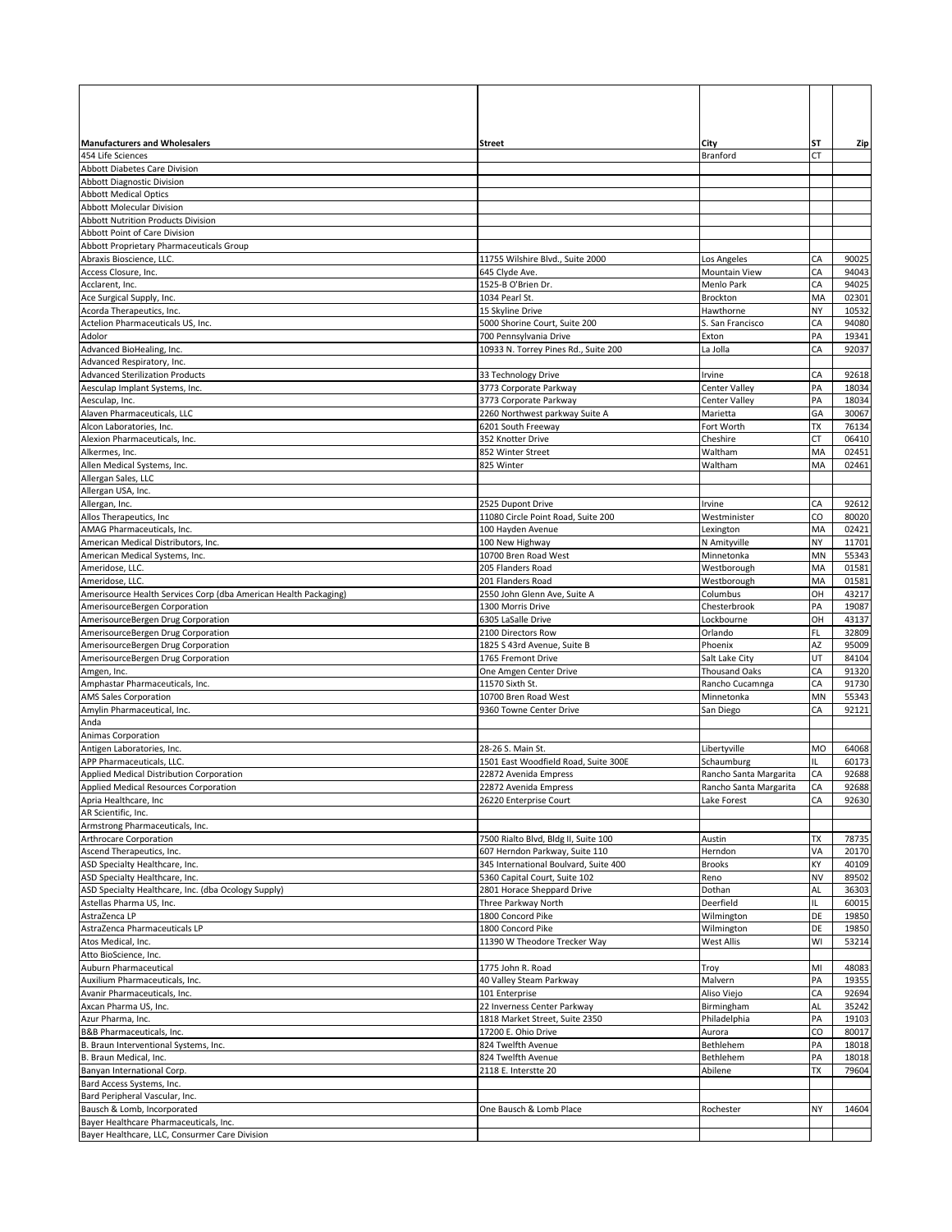| <b>Manufacturers and Wholesalers</b>                                                      | Street                                                        | City                       | SΤ        | Zip            |
|-------------------------------------------------------------------------------------------|---------------------------------------------------------------|----------------------------|-----------|----------------|
| 454 Life Sciences                                                                         |                                                               | Branford                   | СT        |                |
| Abbott Diabetes Care Division                                                             |                                                               |                            |           |                |
| <b>Abbott Diagnostic Division</b>                                                         |                                                               |                            |           |                |
| <b>Abbott Medical Optics</b><br><b>Abbott Molecular Division</b>                          |                                                               |                            |           |                |
| Abbott Nutrition Products Division                                                        |                                                               |                            |           |                |
| Abbott Point of Care Division                                                             |                                                               |                            |           |                |
| Abbott Proprietary Pharmaceuticals Group                                                  |                                                               |                            |           |                |
| Abraxis Bioscience, LLC.                                                                  | 11755 Wilshire Blvd., Suite 2000                              | Los Angeles                | СA        | 90025          |
| Access Closure, Inc.                                                                      | 645 Clyde Ave.                                                | Mountain View              | СA        | 94043          |
| Acclarent, Inc.<br>Ace Surgical Supply, Inc.                                              | 1525-B O'Brien Dr.<br>1034 Pearl St.                          | Menlo Park<br>Brockton     | СA<br>MA  | 94025<br>02301 |
| Acorda Therapeutics, Inc.                                                                 | 15 Skyline Drive                                              | Hawthorne                  | NΥ        | 10532          |
| Actelion Pharmaceuticals US, Inc.                                                         | 5000 Shorine Court, Suite 200                                 | S. San Francisco           | CA        | 94080          |
| Adolor                                                                                    | 700 Pennsylvania Drive                                        | Exton                      | PA        | 19341          |
| Advanced BioHealing, Inc.                                                                 | 10933 N. Torrey Pines Rd., Suite 200                          | La Jolla                   | СA        | 92037          |
| Advanced Respiratory, Inc.                                                                |                                                               |                            |           |                |
| <b>Advanced Sterilization Products</b><br>Aesculap Implant Systems, Inc.                  | 33 Technology Drive<br>3773 Corporate Parkway                 | Irvine<br>Center Valley    | CA<br>PA  | 92618<br>18034 |
| Aesculap, Inc.                                                                            | 3773 Corporate Parkway                                        | Center Valley              | PA        | 18034          |
| Alaven Pharmaceuticals, LLC                                                               | 2260 Northwest parkway Suite A                                | Marietta                   | GA        | 30067          |
| Alcon Laboratories, Inc.                                                                  | 6201 South Freeway                                            | Fort Worth                 | ТX        | 76134          |
| Alexion Pharmaceuticals, Inc.                                                             | 352 Knotter Drive                                             | Cheshire                   | СT        | 06410          |
| Alkermes, Inc.                                                                            | 852 Winter Street                                             | Waltham                    | MA        | 02451          |
| Allen Medical Systems, Inc.<br>Allergan Sales, LLC                                        | 825 Winter                                                    | Waltham                    | MA        | 02461          |
| Allergan USA, Inc.                                                                        |                                                               |                            |           |                |
| Allergan, Inc.                                                                            | 2525 Dupont Drive                                             | Irvine                     | СA        | 92612          |
| Allos Therapeutics, Inc.                                                                  | 11080 Circle Point Road, Suite 200                            | Westminister               | CO        | 80020          |
| AMAG Pharmaceuticals, Inc.                                                                | 100 Hayden Avenue                                             | Lexington                  | MA        | 02421          |
| American Medical Distributors, Inc.                                                       | 100 New Highway                                               | N Amityville               | NΥ        | 11701          |
| American Medical Systems, Inc.                                                            | 10700 Bren Road West<br>205 Flanders Road                     | Minnetonka                 | MΝ<br>MA  | 55343<br>01581 |
| Ameridose, LLC.<br>Ameridose, LLC.                                                        | 201 Flanders Road                                             | Westborough<br>Westborough | MA        | 01581          |
| Amerisource Health Services Corp (dba American Health Packaging)                          | 2550 John Glenn Ave, Suite A                                  | Columbus                   | ΟН        | 43217          |
| AmerisourceBergen Corporation                                                             | 1300 Morris Drive                                             | Chesterbrook               | PA        | 19087          |
| AmerisourceBergen Drug Corporation                                                        | 6305 LaSalle Drive                                            | Lockbourne                 | ΟН        | 43137          |
| AmerisourceBergen Drug Corporation                                                        | 2100 Directors Row                                            | Orlando                    | FL        | 32809          |
| AmerisourceBergen Drug Corporation                                                        | 1825 S 43rd Avenue, Suite B<br>1765 Fremont Drive             | Phoenix<br>Salt Lake City  | AZ<br>UT  | 95009<br>84104 |
| AmerisourceBergen Drug Corporation<br>Amgen, Inc.                                         | One Amgen Center Drive                                        | Thousand Oaks              | CA        | 91320          |
| Amphastar Pharmaceuticals, Inc.                                                           | 11570 Sixth St.                                               | Rancho Cucamnga            | CA        | 91730          |
| <b>AMS Sales Corporation</b>                                                              | 10700 Bren Road West                                          | Minnetonka                 | MN        | 55343          |
| Amylin Pharmaceutical, Inc.                                                               | 9360 Towne Center Drive                                       | San Diego                  | СA        | 92121          |
| Anda                                                                                      |                                                               |                            |           |                |
| Animas Corporation<br>Antigen Laboratories, Inc.                                          | 28-26 S. Main St.                                             | Libertyville               | MO        | 64068          |
| APP Pharmaceuticals, LLC.                                                                 | 1501 East Woodfield Road, Suite 300E                          | Schaumburg                 | IL        | 60173          |
|                                                                                           | 22872 Avenida Empress                                         | Rancho Santa Margarita     | CA        | 92688          |
| <b>Applied Medical Distribution Corporation<br/>Applied Medical Resources Corporation</b> | 22872 Avenida Empress                                         | Rancho Santa Margarita     | CA        | 92688          |
| Apria Healthcare, Inc.                                                                    | 26220 Enterprise Court                                        | Lake Forest                | CA        | 92630          |
| AR Scientific, Inc.                                                                       |                                                               |                            |           |                |
| Armstrong Pharmaceuticals, Inc.<br>Arthrocare Corporation                                 | 7500 Rialto Blvd, Bldg II, Suite 100                          | Austin                     | <b>TX</b> | 78735          |
| Ascend Therapeutics, Inc.                                                                 | 607 Herndon Parkway, Suite 110                                | Herndon                    | VA        | 20170          |
| ASD Specialty Healthcare, Inc.                                                            | 345 International Boulvard, Suite 400                         | <b>Brooks</b>              | KΥ        | 40109          |
| ASD Specialty Healthcare, Inc.                                                            | 5360 Capital Court, Suite 102                                 | Reno                       | NV        | 89502          |
| ASD Specialty Healthcare, Inc. (dba Ocology Supply)                                       | 2801 Horace Sheppard Drive                                    | Dothan                     | AL        | 36303          |
| Astellas Pharma US, Inc.                                                                  | Three Parkway North                                           | Deerfield                  | IL.       | 60015          |
| AstraZenca LP<br>AstraZenca Pharmaceuticals LP                                            | 1800 Concord Pike<br>1800 Concord Pike                        | Wilmington<br>Wilmington   | DE<br>DE  | 19850<br>19850 |
| Atos Medical, Inc.                                                                        | 11390 W Theodore Trecker Way                                  | <b>West Allis</b>          | WI        | 53214          |
| Atto BioScience, Inc.                                                                     |                                                               |                            |           |                |
| Auburn Pharmaceutical                                                                     | 1775 John R. Road                                             | Troy                       | MI        | 48083          |
| Auxilium Pharmaceuticals, Inc.                                                            | 40 Valley Steam Parkway                                       | Malvern                    | PA        | 19355          |
| Avanir Pharmaceuticals, Inc.                                                              | 101 Enterprise                                                | Aliso Viejo                | CA        | 92694          |
| Axcan Pharma US, Inc.<br>Azur Pharma, Inc.                                                | 22 Inverness Center Parkway<br>1818 Market Street, Suite 2350 | Birmingham<br>Philadelphia | AL<br>PA  | 35242<br>19103 |
| B&B Pharmaceuticals, Inc.                                                                 | 17200 E. Ohio Drive                                           | Aurora                     | CO        | 80017          |
| B. Braun Interventional Systems, Inc.                                                     | 824 Twelfth Avenue                                            | Bethlehem                  | PA        | 18018          |
| B. Braun Medical, Inc.                                                                    | 824 Twelfth Avenue                                            | Bethlehem                  | PA        | 18018          |
| Banyan International Corp.                                                                | 2118 E. Interstte 20                                          | Abilene                    | TX        | 79604          |
| Bard Access Systems, Inc.                                                                 |                                                               |                            |           |                |
| Bard Peripheral Vascular, Inc.<br>Bausch & Lomb, Incorporated                             | One Bausch & Lomb Place                                       | Rochester                  | NΥ        | 14604          |
| Bayer Healthcare Pharmaceuticals, Inc.                                                    |                                                               |                            |           |                |
| Bayer Healthcare, LLC, Consurmer Care Division                                            |                                                               |                            |           |                |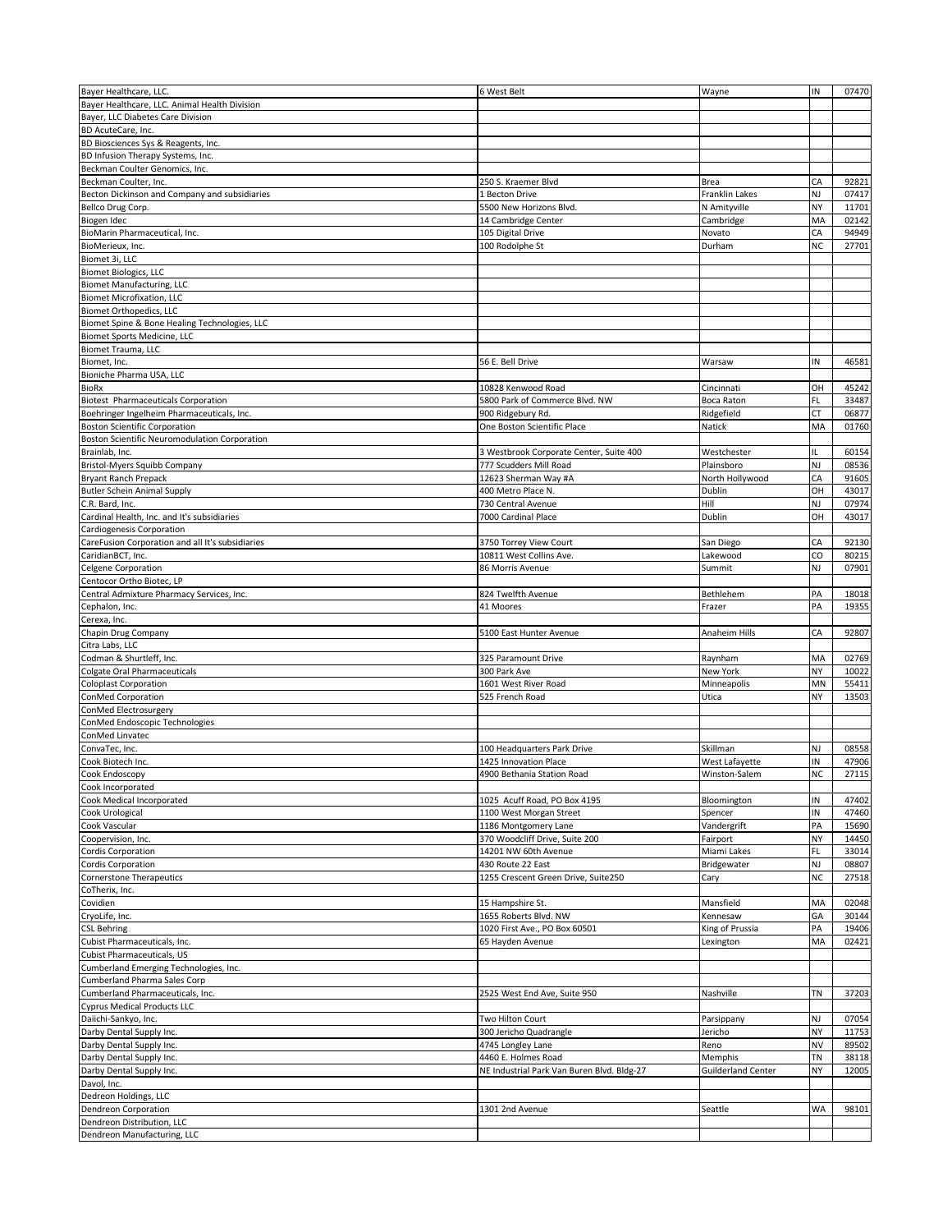| Bayer Healthcare, LLC.                                    | 6 West Belt                                | Wayne                     | IN        | 07470 |
|-----------------------------------------------------------|--------------------------------------------|---------------------------|-----------|-------|
| Bayer Healthcare, LLC. Animal Health Division             |                                            |                           |           |       |
| Bayer, LLC Diabetes Care Division                         |                                            |                           |           |       |
| BD AcuteCare, Inc.                                        |                                            |                           |           |       |
| BD Biosciences Sys & Reagents, Inc.                       |                                            |                           |           |       |
| BD Infusion Therapy Systems, Inc.                         |                                            |                           |           |       |
| Beckman Coulter Genomics, Inc.                            |                                            |                           |           |       |
|                                                           |                                            |                           | CA        |       |
| Beckman Coulter, Inc.                                     | 250 S. Kraemer Blvd                        | Brea                      |           | 92821 |
| Becton Dickinson and Company and subsidiaries             | 1 Becton Drive                             | Franklin Lakes            | NJ        | 07417 |
| Bellco Drug Corp.                                         | 5500 New Horizons Blvd.                    | N Amityville              | NΥ        | 11701 |
| Biogen Idec                                               | 14 Cambridge Center                        | Cambridge                 | МA        | 02142 |
| BioMarin Pharmaceutical, Inc.                             | 105 Digital Drive                          | Novato                    | CA        | 94949 |
| BioMerieux, Inc.                                          | 100 Rodolphe St                            | Durham                    | <b>NC</b> | 27701 |
| Biomet 3i, LLC                                            |                                            |                           |           |       |
| <b>Biomet Biologics, LLC</b>                              |                                            |                           |           |       |
| <b>Biomet Manufacturing, LLC</b>                          |                                            |                           |           |       |
| <b>Biomet Microfixation, LLC</b>                          |                                            |                           |           |       |
| <b>Biomet Orthopedics, LLC</b>                            |                                            |                           |           |       |
| Biomet Spine & Bone Healing Technologies, LLC             |                                            |                           |           |       |
| Biomet Sports Medicine, LLC                               |                                            |                           |           |       |
| Biomet Trauma, LLC                                        |                                            |                           |           |       |
| Biomet, Inc.                                              | 56 E. Bell Drive                           | Warsaw                    | IN        | 46581 |
|                                                           |                                            |                           |           |       |
| Bioniche Pharma USA, LLC                                  |                                            |                           | OH        | 45242 |
| <b>BioRx</b>                                              | 10828 Kenwood Road                         | Cincinnati                |           |       |
| <b>Biotest Pharmaceuticals Corporation</b>                | 5800 Park of Commerce Blvd. NW             | Boca Raton                | FL        | 33487 |
| Boehringer Ingelheim Pharmaceuticals, Inc.                | 900 Ridgebury Rd.                          | Ridgefield                | СT        | 06877 |
| <b>Boston Scientific Corporation</b>                      | One Boston Scientific Place                | Natick                    | MA        | 01760 |
| <b>Boston Scientific Neuromodulation Corporation</b>      |                                            |                           |           |       |
| Brainlab, Inc.                                            | 3 Westbrook Corporate Center, Suite 400    | Westchester               | н.        | 60154 |
| Bristol-Myers Squibb Company                              | 777 Scudders Mill Road                     | Plainsboro                | NJ        | 08536 |
| <b>Bryant Ranch Prepack</b>                               | 12623 Sherman Way #A                       | North Hollywood           | CA        | 91605 |
| <b>Butler Schein Animal Supply</b>                        | 400 Metro Place N.                         | Dublin                    | ΟН        | 43017 |
| C.R. Bard, Inc.                                           | 730 Central Avenue                         | Hill                      | NJ        | 07974 |
| Cardinal Health, Inc. and It's subsidiaries               | 7000 Cardinal Place                        | Dublin                    | OН        | 43017 |
| Cardiogenesis Corporation                                 |                                            |                           |           |       |
| CareFusion Corporation and all It's subsidiaries          | 3750 Torrey View Court                     | San Diego                 | CA        | 92130 |
|                                                           |                                            |                           |           |       |
| CaridianBCT, Inc.                                         | 10811 West Collins Ave.                    | Lakewood                  | CO        | 80215 |
| Celgene Corporation                                       | 86 Morris Avenue                           | Summit                    | NJ        | 07901 |
| Centocor Ortho Biotec, LP                                 |                                            |                           |           |       |
| Central Admixture Pharmacy Services, Inc.                 | 824 Twelfth Avenue                         | Bethlehem                 | PA        | 18018 |
| Cephalon, Inc.                                            | 41 Moores                                  | Frazer                    | PA        | 19355 |
| Cerexa, Inc.                                              |                                            |                           |           |       |
|                                                           |                                            |                           |           |       |
| Chapin Drug Company                                       | 5100 East Hunter Avenue                    | Anaheim Hills             | СA        | 92807 |
|                                                           |                                            |                           |           |       |
| Citra Labs, LLC                                           |                                            |                           |           |       |
| Codman & Shurtleff, Inc.                                  | 325 Paramount Drive                        | Raynham                   | MA        | 02769 |
| Colgate Oral Pharmaceuticals                              | 300 Park Ave                               | New York                  | NY        | 10022 |
| <b>Coloplast Corporation</b>                              | 1601 West River Road                       | Minneapolis               | MN        | 55411 |
| ConMed Corporation                                        | 525 French Road                            | Utica                     | NΥ        | 13503 |
| ConMed Electrosurgery                                     |                                            |                           |           |       |
| ConMed Endoscopic Technologies                            |                                            |                           |           |       |
| ConMed Linvatec                                           |                                            |                           |           |       |
| ConvaTec, Inc.                                            | 100 Headquarters Park Drive                | Skillman                  | NJ        | 08558 |
| Cook Biotech Inc.                                         | 1425 Innovation Place                      | West Lafayette            | ΙN        | 47906 |
| Cook Endoscopy                                            | 4900 Bethania Station Road                 | Winston-Salem             | <b>NC</b> | 27115 |
| Cook Incorporated                                         |                                            |                           |           |       |
| Cook Medical Incorporated                                 | 1025 Acuff Road, PO Box 4195               | Bloomington               | IN        | 47402 |
| Cook Urological                                           | 1100 West Morgan Street                    | Spencer                   | ΙN        | 47460 |
| Cook Vascular                                             | 1186 Montgomery Lane                       | Vandergrift               | PA        | 15690 |
| Coopervision, Inc.                                        | 370 Woodcliff Drive, Suite 200             | Fairport                  | NΥ        | 14450 |
|                                                           |                                            |                           | FL        | 33014 |
| Cordis Corporation                                        | 14201 NW 60th Avenue                       | Miami Lakes               |           |       |
| Cordis Corporation                                        | 430 Route 22 East                          | Bridgewater               | NJ        | 08807 |
| <b>Cornerstone Therapeutics</b>                           | 1255 Crescent Green Drive, Suite250        | Cary                      | <b>NC</b> | 27518 |
| CoTherix, Inc.                                            |                                            |                           |           |       |
| Covidien                                                  | 15 Hampshire St.                           | Mansfield                 | MA        | 02048 |
| CryoLife, Inc.                                            | 1655 Roberts Blvd. NW                      | Kennesaw                  | GA        | 30144 |
| <b>CSL Behring</b>                                        | 1020 First Ave., PO Box 60501              | King of Prussia           | PA        | 19406 |
| Cubist Pharmaceuticals, Inc.                              | 65 Hayden Avenue                           | Lexington                 | MA        | 02421 |
| Cubist Pharmaceuticals, US                                |                                            |                           |           |       |
| Cumberland Emerging Technologies, Inc.                    |                                            |                           |           |       |
| Cumberland Pharma Sales Corp                              |                                            |                           |           |       |
| Cumberland Pharmaceuticals, Inc.                          | 2525 West End Ave, Suite 950               | Nashville                 | TN        | 37203 |
| <b>Cyprus Medical Products LLC</b>                        |                                            |                           |           |       |
| Daiichi-Sankyo, Inc.                                      | Two Hilton Court                           | Parsippany                | NJ        | 07054 |
| Darby Dental Supply Inc.                                  | 300 Jericho Quadrangle                     | Jericho                   | NΥ        | 11753 |
|                                                           |                                            |                           |           |       |
| Darby Dental Supply Inc.                                  | 4745 Longley Lane                          | Reno                      | NV        | 89502 |
| Darby Dental Supply Inc.                                  | 4460 E. Holmes Road                        | Memphis                   | TN        | 38118 |
| Darby Dental Supply Inc.                                  | NE Industrial Park Van Buren Blvd. Bldg-27 | <b>Guilderland Center</b> | NΥ        | 12005 |
| Davol, Inc.                                               |                                            |                           |           |       |
| Dedreon Holdings, LLC                                     |                                            |                           |           |       |
| Dendreon Corporation                                      | 1301 2nd Avenue                            | Seattle                   | WA        | 98101 |
| Dendreon Distribution, LLC<br>Dendreon Manufacturing, LLC |                                            |                           |           |       |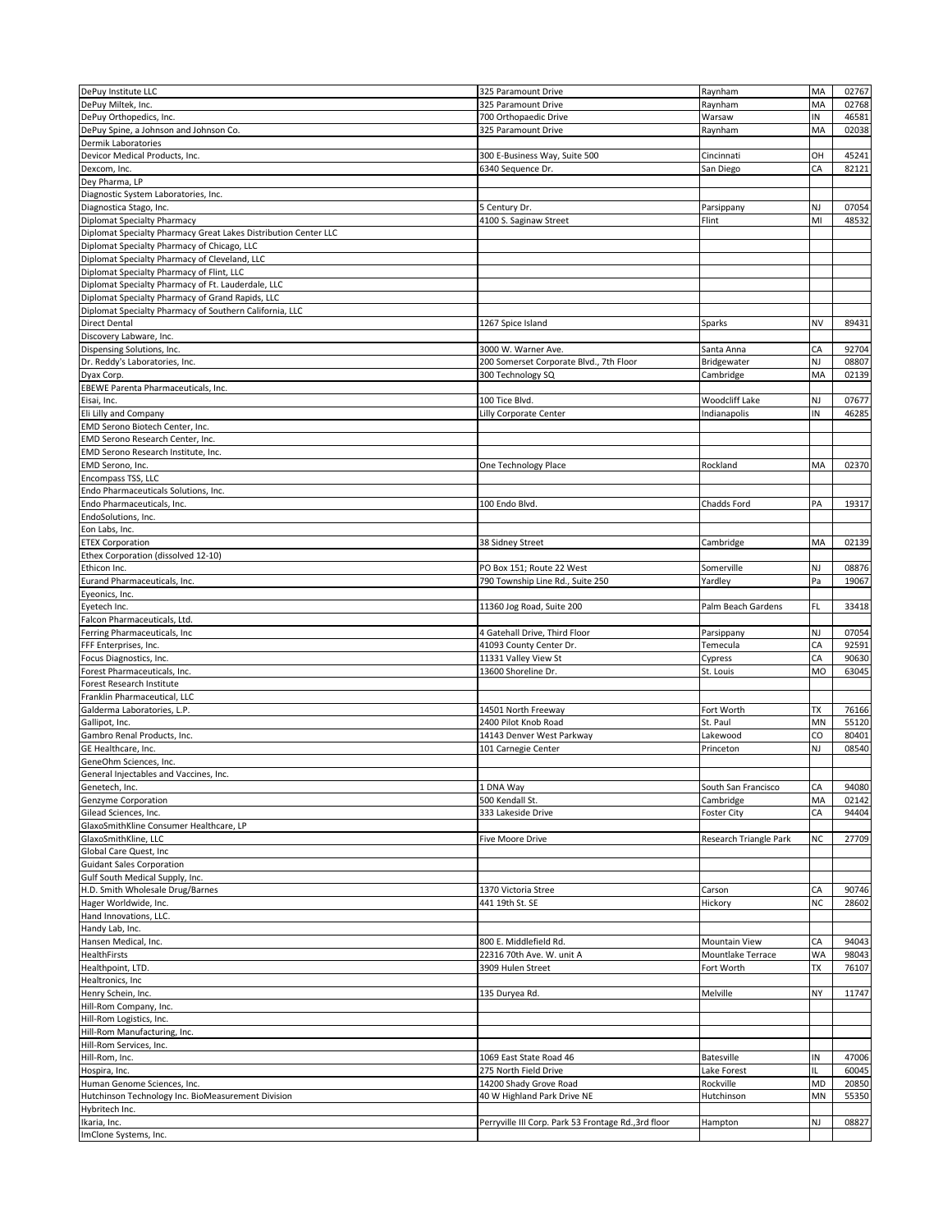|                                                                 | 325 Paramount Drive                                  | Raynham                | MA | 02767 |
|-----------------------------------------------------------------|------------------------------------------------------|------------------------|----|-------|
| DePuy Institute LLC<br>DePuy Miltek, Inc.                       | 325 Paramount Drive                                  | Raynham                | MA | 02768 |
|                                                                 |                                                      |                        | ΙN |       |
| DePuy Orthopedics, Inc.                                         | 700 Orthopaedic Drive                                | Warsaw                 |    | 46581 |
| DePuy Spine, a Johnson and Johnson Co.                          | 325 Paramount Drive                                  | Raynham                | MA | 02038 |
| Dermik Laboratories                                             |                                                      |                        |    |       |
| Devicor Medical Products, Inc.                                  | 300 E-Business Way, Suite 500                        | Cincinnati             | OH | 45241 |
| Dexcom, Inc.                                                    | 6340 Sequence Dr.                                    | San Diego              | CA | 82121 |
| Dey Pharma, LP                                                  |                                                      |                        |    |       |
| Diagnostic System Laboratories, Inc.                            |                                                      |                        |    |       |
| Diagnostica Stago, Inc.                                         | 5 Century Dr.                                        | Parsippany             | NJ | 07054 |
| Diplomat Specialty Pharmacy                                     | 4100 S. Saginaw Street                               | Flint                  | MI | 48532 |
| Diplomat Specialty Pharmacy Great Lakes Distribution Center LLC |                                                      |                        |    |       |
| Diplomat Specialty Pharmacy of Chicago, LLC                     |                                                      |                        |    |       |
| Diplomat Specialty Pharmacy of Cleveland, LLC                   |                                                      |                        |    |       |
| Diplomat Specialty Pharmacy of Flint, LLC                       |                                                      |                        |    |       |
| Diplomat Specialty Pharmacy of Ft. Lauderdale, LLC              |                                                      |                        |    |       |
| Diplomat Specialty Pharmacy of Grand Rapids, LLC                |                                                      |                        |    |       |
| Diplomat Specialty Pharmacy of Southern California, LLC         |                                                      |                        |    |       |
| <b>Direct Dental</b>                                            | 1267 Spice Island                                    | Sparks                 | NV | 89431 |
| Discovery Labware, Inc.                                         |                                                      |                        |    |       |
| Dispensing Solutions, Inc.                                      | 3000 W. Warner Ave.                                  | Santa Anna             | CA | 92704 |
| Dr. Reddy's Laboratories, Inc.                                  | 200 Somerset Corporate Blvd., 7th Floor              | Bridgewater            | NJ | 08807 |
| Dyax Corp.                                                      | 300 Technology SQ                                    | Cambridge              | MA | 02139 |
| EBEWE Parenta Pharmaceuticals, Inc.                             |                                                      |                        |    |       |
| Eisai, Inc.                                                     | 100 Tice Blvd.                                       | <b>Woodcliff Lake</b>  | NJ | 07677 |
| Eli Lilly and Company                                           | Lilly Corporate Center                               | Indianapolis           | IN | 46285 |
| EMD Serono Biotech Center, Inc.                                 |                                                      |                        |    |       |
| EMD Serono Research Center, Inc.                                |                                                      |                        |    |       |
| EMD Serono Research Institute, Inc.                             |                                                      |                        |    |       |
| EMD Serono, Inc.                                                | One Technology Place                                 | Rockland               | MA | 02370 |
| Encompass TSS, LLC                                              |                                                      |                        |    |       |
| Endo Pharmaceuticals Solutions, Inc.                            |                                                      |                        |    |       |
| Endo Pharmaceuticals, Inc.                                      | 100 Endo Blvd.                                       | Chadds Ford            | PA | 19317 |
| EndoSolutions, Inc.                                             |                                                      |                        |    |       |
| Eon Labs, Inc.                                                  |                                                      |                        |    |       |
| <b>ETEX Corporation</b>                                         | 38 Sidney Street                                     | Cambridge              | MA | 02139 |
| Ethex Corporation (dissolved 12-10)                             |                                                      |                        |    |       |
| Ethicon Inc.                                                    | PO Box 151; Route 22 West                            | Somerville             | NJ | 08876 |
| Eurand Pharmaceuticals, Inc.                                    | 790 Township Line Rd., Suite 250                     | Yardley                | Pa | 19067 |
|                                                                 |                                                      |                        |    |       |
| Eyeonics, Inc.<br>Eyetech Inc.                                  | 11360 Jog Road, Suite 200                            | Palm Beach Gardens     | FL | 33418 |
| Falcon Pharmaceuticals, Ltd.                                    |                                                      |                        |    |       |
|                                                                 |                                                      |                        |    | 07054 |
|                                                                 |                                                      |                        |    |       |
| Ferring Pharmaceuticals, Inc                                    | 4 Gatehall Drive, Third Floor                        | Parsippany             | NJ |       |
| FFF Enterprises, Inc.                                           | 41093 County Center Dr.                              | Temecula               | СA | 92591 |
| Focus Diagnostics, Inc.                                         | 11331 Valley View St                                 | Cypress                | СA | 90630 |
| Forest Pharmaceuticals, Inc.                                    | 13600 Shoreline Dr.                                  | St. Louis              | MO | 63045 |
| Forest Research Institute                                       |                                                      |                        |    |       |
| Franklin Pharmaceutical, LLC                                    |                                                      |                        |    |       |
| Galderma Laboratories, L.P.                                     | 14501 North Freeway                                  | Fort Worth             | TХ | 76166 |
| Gallipot, Inc.                                                  | 2400 Pilot Knob Road                                 | St. Paul               | MN | 55120 |
| Gambro Renal Products, Inc.                                     | 14143 Denver West Parkway                            | Lakewood               | CO | 80401 |
| GE Healthcare, Inc.                                             | 101 Carnegie Center                                  | Princeton              | NJ | 08540 |
| GeneOhm Sciences, Inc.                                          |                                                      |                        |    |       |
| General Injectables and Vaccines, Inc.                          |                                                      |                        |    |       |
| Genetech, Inc.                                                  | 1 DNA Way                                            | South San Francisco    | CA | 94080 |
| <b>Genzyme Corporation</b>                                      | 500 Kendall St.                                      | Cambridge              | MA | 02142 |
| Gilead Sciences, Inc.                                           | 333 Lakeside Drive                                   | <b>Foster City</b>     | СA | 94404 |
| GlaxoSmithKline Consumer Healthcare, LP                         |                                                      |                        |    |       |
| GlaxoSmithKline, LLC                                            | <b>Five Moore Drive</b>                              | Research Triangle Park | ΝC | 27709 |
| Global Care Quest, Inc                                          |                                                      |                        |    |       |
| <b>Guidant Sales Corporation</b>                                |                                                      |                        |    |       |
| Gulf South Medical Supply, Inc.                                 |                                                      |                        |    |       |
| H.D. Smith Wholesale Drug/Barnes                                | 1370 Victoria Stree                                  | Carson                 | СA | 90746 |
| Hager Worldwide, Inc.                                           | 441 19th St. SE                                      | Hickory                | NC | 28602 |
| Hand Innovations, LLC.                                          |                                                      |                        |    |       |
| Handy Lab, Inc.                                                 |                                                      |                        |    |       |
| Hansen Medical, Inc.                                            | 800 E. Middlefield Rd.                               | Mountain View          | СA | 94043 |
| HealthFirsts                                                    | 22316 70th Ave. W. unit A                            | Mountlake Terrace      | WA | 98043 |
| Healthpoint, LTD.                                               | 3909 Hulen Street                                    | Fort Worth             | TX | 76107 |
| Healtronics, Inc                                                |                                                      |                        |    |       |
| Henry Schein, Inc.                                              | 135 Duryea Rd.                                       | Melville               | NY | 11747 |
| Hill-Rom Company, Inc.                                          |                                                      |                        |    |       |
| Hill-Rom Logistics, Inc.                                        |                                                      |                        |    |       |
| Hill-Rom Manufacturing, Inc.                                    |                                                      |                        |    |       |
| Hill-Rom Services, Inc.                                         |                                                      |                        |    |       |
| Hill-Rom, Inc.                                                  | 1069 East State Road 46                              | Batesville             | IN | 47006 |
| Hospira, Inc.                                                   | 275 North Field Drive                                | Lake Forest            | IL | 60045 |
| Human Genome Sciences, Inc.                                     | 14200 Shady Grove Road                               | Rockville              | MD | 20850 |
| Hutchinson Technology Inc. BioMeasurement Division              | 40 W Highland Park Drive NE                          | Hutchinson             | MN | 55350 |
| Hybritech Inc.                                                  |                                                      |                        |    |       |
| Ikaria, Inc.<br>ImClone Systems, Inc.                           | Perryville III Corp. Park 53 Frontage Rd., 3rd floor | Hampton                | NJ | 08827 |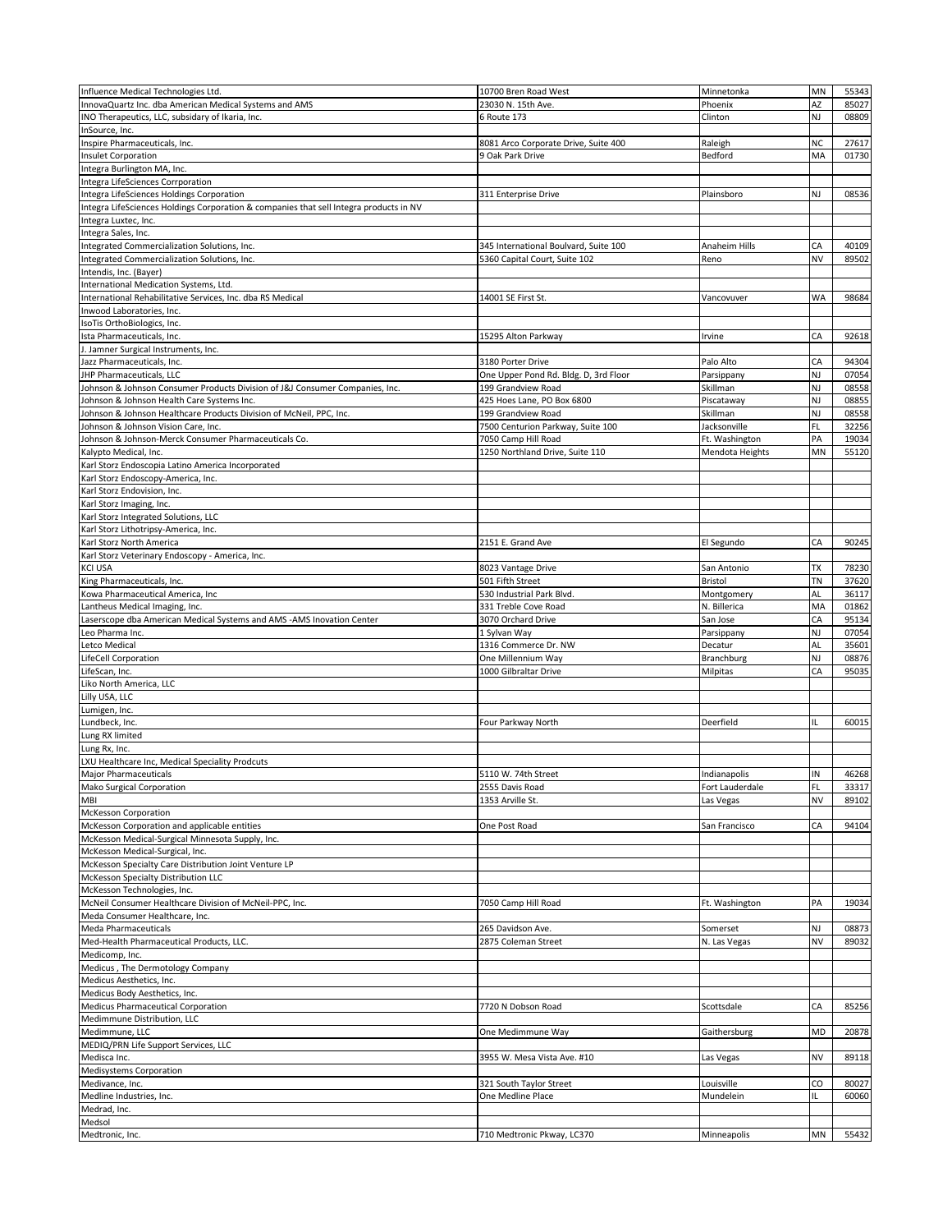|                                                                                        | 10700 Bren Road West                  | Minnetonka      | MN        | 55343 |
|----------------------------------------------------------------------------------------|---------------------------------------|-----------------|-----------|-------|
| Influence Medical Technologies Ltd.                                                    | 23030 N. 15th Ave.                    | Phoenix         | ΑZ        | 85027 |
| InnovaQuartz Inc. dba American Medical Systems and AMS                                 |                                       |                 |           |       |
| INO Therapeutics, LLC, subsidary of Ikaria, Inc.                                       | 6 Route 173                           | Clinton         | NJ        | 08809 |
| InSource, Inc.                                                                         |                                       |                 |           |       |
| Inspire Pharmaceuticals, Inc.                                                          | 8081 Arco Corporate Drive, Suite 400  | Raleigh         | NC        | 27617 |
| <b>Insulet Corporation</b>                                                             | 9 Oak Park Drive                      | Bedford         | MA        | 01730 |
| Integra Burlington MA, Inc.                                                            |                                       |                 |           |       |
| Integra LifeSciences Corrporation                                                      |                                       |                 |           |       |
| Integra LifeSciences Holdings Corporation                                              | 311 Enterprise Drive                  | Plainsboro      | NJ        | 08536 |
| Integra LifeSciences Holdings Corporation & companies that sell Integra products in NV |                                       |                 |           |       |
|                                                                                        |                                       |                 |           |       |
| Integra Luxtec, Inc.                                                                   |                                       |                 |           |       |
| Integra Sales, Inc.                                                                    |                                       |                 |           |       |
| Integrated Commercialization Solutions, Inc.                                           | 345 International Boulvard, Suite 100 | Anaheim Hills   | CA        | 40109 |
| Integrated Commercialization Solutions, Inc.                                           | 5360 Capital Court, Suite 102         | Reno            | NV        | 89502 |
| Intendis, Inc. (Bayer)                                                                 |                                       |                 |           |       |
| International Medication Systems, Ltd.                                                 |                                       |                 |           |       |
| International Rehabilitative Services, Inc. dba RS Medical                             | 14001 SE First St.                    | Vancovuver      | <b>WA</b> | 98684 |
| Inwood Laboratories, Inc.                                                              |                                       |                 |           |       |
|                                                                                        |                                       |                 |           |       |
| IsoTis OrthoBiologics, Inc.                                                            |                                       |                 |           |       |
| Ista Pharmaceuticals, Inc.                                                             | 15295 Alton Parkway                   | Irvine          | CA        | 92618 |
| J. Jamner Surgical Instruments, Inc.                                                   |                                       |                 |           |       |
| Jazz Pharmaceuticals, Inc.                                                             | 3180 Porter Drive                     | Palo Alto       | СA        | 94304 |
| JHP Pharmaceuticals, LLC                                                               | One Upper Pond Rd. Bldg. D, 3rd Floor | Parsippany      | NJ        | 07054 |
| Johnson & Johnson Consumer Products Division of J&J Consumer Companies, Inc.           | 199 Grandview Road                    | Skillman        | NJ        | 08558 |
| Johnson & Johnson Health Care Systems Inc                                              | 425 Hoes Lane, PO Box 6800            | Piscataway      | NJ        | 08855 |
|                                                                                        |                                       |                 |           |       |
| Johnson & Johnson Healthcare Products Division of McNeil, PPC, Inc.                    | 199 Grandview Road                    | Skillman        | NJ        | 08558 |
| Johnson & Johnson Vision Care, Inc.                                                    | 7500 Centurion Parkway, Suite 100     | Jacksonville    | FL        | 32256 |
| Johnson & Johnson-Merck Consumer Pharmaceuticals Co.                                   | 7050 Camp Hill Road                   | Ft. Washington  | PA        | 19034 |
| Kalypto Medical, Inc.                                                                  | 1250 Northland Drive, Suite 110       | Mendota Heights | MN        | 55120 |
| Karl Storz Endoscopia Latino America Incorporated                                      |                                       |                 |           |       |
| Karl Storz Endoscopy-America, Inc.                                                     |                                       |                 |           |       |
|                                                                                        |                                       |                 |           |       |
| Karl Storz Endovision, Inc.                                                            |                                       |                 |           |       |
| Karl Storz Imaging, Inc.                                                               |                                       |                 |           |       |
| Karl Storz Integrated Solutions, LLC                                                   |                                       |                 |           |       |
| Karl Storz Lithotripsy-America, Inc.                                                   |                                       |                 |           |       |
| Karl Storz North America                                                               | 2151 E. Grand Ave                     | El Segundo      | CA        | 90245 |
| Karl Storz Veterinary Endoscopy - America, Inc.                                        |                                       |                 |           |       |
|                                                                                        |                                       |                 |           |       |
| KCI USA                                                                                | 8023 Vantage Drive                    | San Antonio     | TX        | 78230 |
| King Pharmaceuticals, Inc.                                                             | 501 Fifth Street                      | Bristol         | TN        | 37620 |
| Kowa Pharmaceutical America, Inc                                                       | 530 Industrial Park Blvd.             | Montgomery      | AL        | 36117 |
| Lantheus Medical Imaging, Inc.                                                         | 331 Treble Cove Road                  | N. Billerica    | MA        | 01862 |
| Laserscope dba American Medical Systems and AMS -AMS Inovation Center                  | 3070 Orchard Drive                    | San Jose        | CA        | 95134 |
| Leo Pharma Inc.                                                                        | 1 Sylvan Way                          | Parsippany      | NJ        | 07054 |
| Letco Medical                                                                          | 1316 Commerce Dr. NW                  | Decatur         | AL        | 35601 |
|                                                                                        |                                       |                 |           |       |
| LifeCell Corporation                                                                   | One Millennium Way                    | Branchburg      | NJ        | 08876 |
| LifeScan, Inc.                                                                         | 1000 Gilbraltar Drive                 | Milpitas        | CA        | 95035 |
| Liko North America, LLC                                                                |                                       |                 |           |       |
|                                                                                        |                                       |                 |           |       |
| Lilly USA, LLC                                                                         |                                       |                 |           |       |
|                                                                                        |                                       |                 |           |       |
| Lumigen, Inc.                                                                          |                                       |                 |           |       |
| Lundbeck, Inc.                                                                         | Four Parkway North                    | Deerfield       | IL.       | 60015 |
| Lung RX limited                                                                        |                                       |                 |           |       |
| Lung Rx, Inc.                                                                          |                                       |                 |           |       |
| LXU Healthcare Inc, Medical Speciality Prodcuts                                        |                                       |                 |           |       |
| <b>Major Pharmaceuticals</b>                                                           | 5110 W. 74th Street                   | Indianapolis    | IN        | 46268 |
| Mako Surgical Corporation                                                              | 2555 Davis Road                       | Fort Lauderdale | FL        | 33317 |
|                                                                                        |                                       |                 |           |       |
| MBI                                                                                    | 1353 Arville St.                      | Las Vegas       | NV        | 89102 |
| McKesson Corporation                                                                   |                                       |                 |           |       |
| McKesson Corporation and applicable entities                                           | One Post Road                         | San Francisco   | CA        | 94104 |
| McKesson Medical-Surgical Minnesota Supply, Inc.                                       |                                       |                 |           |       |
| McKesson Medical-Surgical, Inc.                                                        |                                       |                 |           |       |
| McKesson Specialty Care Distribution Joint Venture LP                                  |                                       |                 |           |       |
| McKesson Specialty Distribution LLC                                                    |                                       |                 |           |       |
|                                                                                        |                                       |                 |           |       |
| McKesson Technologies, Inc.                                                            |                                       |                 |           |       |
| McNeil Consumer Healthcare Division of McNeil-PPC, Inc.                                | 7050 Camp Hill Road                   | Ft. Washington  | PA        | 19034 |
| Meda Consumer Healthcare, Inc.                                                         |                                       |                 |           |       |
| <b>Meda Pharmaceuticals</b>                                                            | 265 Davidson Ave.                     | Somerset        | NJ        | 08873 |
| Med-Health Pharmaceutical Products, LLC.                                               | 2875 Coleman Street                   | N. Las Vegas    | NV        | 89032 |
| Medicomp, Inc.                                                                         |                                       |                 |           |       |
| Medicus, The Dermotology Company                                                       |                                       |                 |           |       |
|                                                                                        |                                       |                 |           |       |
| Medicus Aesthetics, Inc.                                                               |                                       |                 |           |       |
| Medicus Body Aesthetics, Inc.                                                          |                                       |                 |           |       |
| Medicus Pharmaceutical Corporation                                                     | 7720 N Dobson Road                    | Scottsdale      | CA        | 85256 |
| Medimmune Distribution, LLC                                                            |                                       |                 |           |       |
| Medimmune, LLC                                                                         | One Medimmune Way                     | Gaithersburg    | MD        | 20878 |
| MEDIQ/PRN Life Support Services, LLC                                                   |                                       |                 |           |       |
| Medisca Inc.                                                                           | 3955 W. Mesa Vista Ave. #10           | Las Vegas       | NV        | 89118 |
|                                                                                        |                                       |                 |           |       |
| Medisystems Corporation                                                                |                                       |                 |           |       |
| Medivance, Inc.                                                                        | 321 South Taylor Street               | Louisville      | CO        | 80027 |
| Medline Industries, Inc.                                                               | One Medline Place                     | Mundelein       | IL        | 60060 |
| Medrad, Inc.                                                                           |                                       |                 |           |       |
| Medsol<br>Medtronic, Inc.                                                              | 710 Medtronic Pkway, LC370            | Minneapolis     | MN        | 55432 |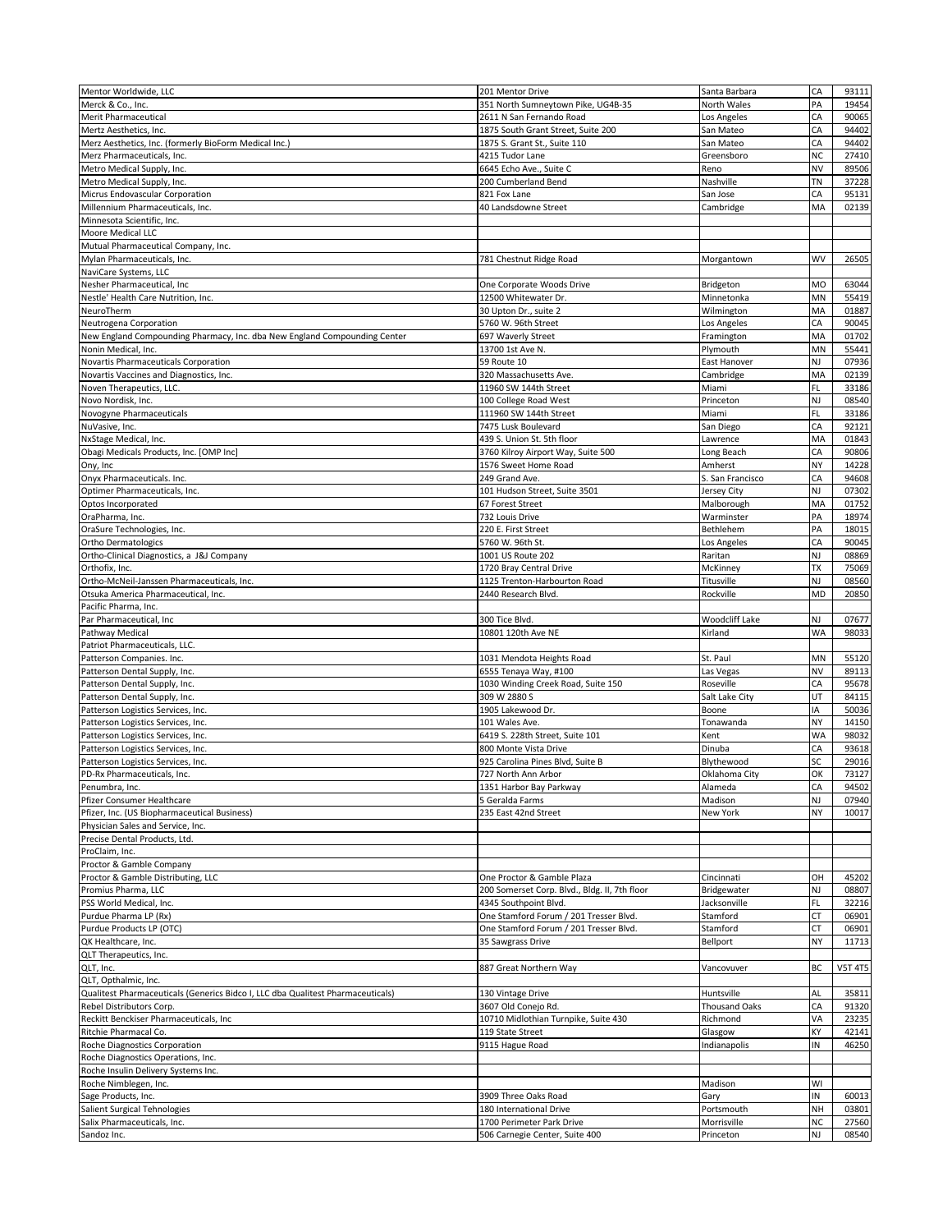| Mentor Worldwide, LLC                                                           | 201 Mentor Drive                                            | Santa Barbara            | CA       | 93111          |
|---------------------------------------------------------------------------------|-------------------------------------------------------------|--------------------------|----------|----------------|
| Merck & Co., Inc.                                                               | 351 North Sumneytown Pike, UG4B-35                          | North Wales              | PA       | 19454          |
| Merit Pharmaceutical                                                            | 2611 N San Fernando Road                                    | Los Angeles              | CA       | 90065          |
| Mertz Aesthetics, Inc.                                                          | 1875 South Grant Street, Suite 200                          | San Mateo                | CA       | 94402          |
| Merz Aesthetics, Inc. (formerly BioForm Medical Inc.)                           | 1875 S. Grant St., Suite 110                                | San Mateo                | CA       | 94402          |
|                                                                                 |                                                             |                          | NC       | 27410          |
| Merz Pharmaceuticals, Inc.<br>Metro Medical Supply, Inc.                        | 4215 Tudor Lane                                             | Greensboro               | NV       |                |
|                                                                                 | 6645 Echo Ave., Suite C                                     | Reno                     |          | 89506          |
| Metro Medical Supply, Inc.                                                      | 200 Cumberland Bend                                         | Nashville                | TN       | 37228          |
| Micrus Endovascular Corporation                                                 | 821 Fox Lane                                                | San Jose                 | СA       | 95131          |
| Millennium Pharmaceuticals, Inc.                                                | 40 Landsdowne Street                                        | Cambridge                | MA       | 02139          |
| Minnesota Scientific, Inc.                                                      |                                                             |                          |          |                |
| Moore Medical LLC                                                               |                                                             |                          |          |                |
| Mutual Pharmaceutical Company, Inc.                                             |                                                             |                          |          |                |
| Mylan Pharmaceuticals, Inc.                                                     | 781 Chestnut Ridge Road                                     | Morgantown               | WV       | 26505          |
| NaviCare Systems, LLC                                                           |                                                             |                          |          |                |
| Nesher Pharmaceutical, Inc.                                                     | One Corporate Woods Drive                                   | Bridgeton                | МO       | 63044          |
| Nestle' Health Care Nutrition, Inc.                                             | 12500 Whitewater Dr.                                        | Minnetonka               | MΝ       | 55419          |
| NeuroTherm                                                                      | 30 Upton Dr., suite 2                                       | Wilmington               | MA       | 01887          |
| Neutrogena Corporation                                                          | 5760 W. 96th Street                                         | Los Angeles              | СA       | 90045          |
| New England Compounding Pharmacy, Inc. dba New England Compounding Center       | 697 Waverly Street                                          | Framington               | MA       | 01702          |
| Nonin Medical, Inc.                                                             | 13700 1st Ave N.                                            | Plymouth                 | MN       | 55441          |
| Novartis Pharmaceuticals Corporation                                            | 59 Route 10                                                 | East Hanover             | NJ       | 07936          |
| Novartis Vaccines and Diagnostics, Inc.                                         | 320 Massachusetts Ave.                                      | Cambridge                | MA       | 02139          |
| Noven Therapeutics, LLC.                                                        | 11960 SW 144th Street                                       | Miami                    | FL       | 33186          |
| Novo Nordisk, Inc.                                                              | 100 College Road West                                       | Princeton                | NJ       | 08540          |
| Novogyne Pharmaceuticals                                                        | 111960 SW 144th Street                                      | Miami                    | FL       | 33186          |
| NuVasive, Inc.                                                                  | 7475 Lusk Boulevard                                         | San Diego                | CA       | 92121          |
| NxStage Medical, Inc.                                                           | 439 S. Union St. 5th floor                                  | Lawrence                 | MA       | 01843          |
| Obagi Medicals Products, Inc. [OMP Inc]                                         | 3760 Kilroy Airport Way, Suite 500                          | Long Beach               | CA       | 90806          |
| Ony, Inc                                                                        | 1576 Sweet Home Road                                        | Amherst                  | NΥ       | 14228          |
| Onyx Pharmaceuticals. Inc.                                                      | 249 Grand Ave.                                              | S. San Francisco         | CA       | 94608          |
| Optimer Pharmaceuticals, Inc.                                                   | 101 Hudson Street, Suite 3501                               | Jersey City              | NJ       | 07302          |
| Optos Incorporated                                                              | 67 Forest Street                                            | Malborough               | MA       | 01752          |
| OraPharma, Inc.                                                                 | 732 Louis Drive                                             | Warminster               | PA       | 18974          |
| OraSure Technologies, Inc.                                                      | 220 E. First Street                                         | Bethlehem                | PA       | 18015          |
| Ortho Dermatologics                                                             | 5760 W. 96th St.                                            | Los Angeles              | CA       | 90045          |
| Ortho-Clinical Diagnostics, a J&J Company                                       | 1001 US Route 202                                           | Raritan                  | NJ       | 08869          |
|                                                                                 |                                                             |                          | TX       |                |
| Orthofix, Inc.                                                                  | 1720 Bray Central Drive                                     | McKinney                 |          | 75069          |
| Ortho-McNeil-Janssen Pharmaceuticals, Inc.                                      | 1125 Trenton-Harbourton Road                                | Titusville               | NJ       | 08560          |
| Otsuka America Pharmaceutical, Inc.<br>Pacific Pharma, Inc.                     | 2440 Research Blvd                                          | Rockville                | MD       | 20850          |
|                                                                                 |                                                             |                          |          |                |
|                                                                                 |                                                             |                          |          |                |
| Par Pharmaceutical, Inc                                                         | 300 Tice Blvd.                                              | Woodcliff Lake           | NJ       | 07677          |
| Pathway Medical                                                                 | 10801 120th Ave NE                                          | Kirland                  | WA       | 98033          |
| Patriot Pharmaceuticals, LLC.                                                   |                                                             |                          |          |                |
| Patterson Companies. Inc.                                                       | 1031 Mendota Heights Road                                   | St. Paul                 | MΝ       | 55120          |
| Patterson Dental Supply, Inc.                                                   | 6555 Tenaya Way, #100                                       | Las Vegas                | NV       | 89113          |
| Patterson Dental Supply, Inc.                                                   | 1030 Winding Creek Road, Suite 150                          | Roseville                | СA       | 95678          |
| Patterson Dental Supply, Inc.                                                   | 309 W 2880 S                                                | Salt Lake City           | UT       | 84115          |
| Patterson Logistics Services, Inc.                                              | 1905 Lakewood Dr.                                           | Boone                    | ΙA       | 50036          |
| Patterson Logistics Services, Inc.                                              | 101 Wales Ave.                                              | Tonawanda                | NΥ       | 14150          |
| Patterson Logistics Services, Inc.                                              | 6419 S. 228th Street, Suite 101                             | Kent                     | WA       | 98032          |
| Patterson Logistics Services, Inc.                                              | 800 Monte Vista Drive                                       | Dinuba                   | CA       | 93618          |
| Patterson Logistics Services, Inc.                                              | 925 Carolina Pines Blvd, Suite B                            | Blythewood               | SC       | 29016          |
| PD-Rx Pharmaceuticals, Inc.                                                     | 727 North Ann Arbor                                         | Oklahoma City            | ОK       | 73127          |
| Penumbra, Inc.                                                                  | 1351 Harbor Bay Parkway                                     | Alameda                  | CA       | 94502          |
| Pfizer Consumer Healthcare                                                      | 5 Geralda Farms                                             | Madison                  | NJ       | 07940          |
| Pfizer, Inc. (US Biopharmaceutical Business)                                    | 235 East 42nd Street                                        | New York                 | NΥ       | 10017          |
| Physician Sales and Service, Inc.                                               |                                                             |                          |          |                |
| Precise Dental Products, Ltd.                                                   |                                                             |                          |          |                |
| ProClaim, Inc.                                                                  |                                                             |                          |          |                |
| Proctor & Gamble Company                                                        |                                                             |                          |          |                |
|                                                                                 | One Proctor & Gamble Plaza                                  |                          |          |                |
| Proctor & Gamble Distributing, LLC                                              |                                                             | Cincinnati               | ОН       | 45202          |
| Promius Pharma, LLC                                                             | 200 Somerset Corp. Blvd., Bldg. II, 7th floor               | Bridgewater              | NJ       | 08807          |
| PSS World Medical, Inc.                                                         | 4345 Southpoint Blvd.                                       | Jacksonville             | FL       | 32216          |
| Purdue Pharma LP (Rx)                                                           | One Stamford Forum / 201 Tresser Blvd.                      | Stamford                 | СT       | 06901          |
| Purdue Products LP (OTC)                                                        | One Stamford Forum / 201 Tresser Blvd.                      | Stamford                 | СT       | 06901          |
| QK Healthcare, Inc.                                                             | 35 Sawgrass Drive                                           | Bellport                 | NΥ       | 11713          |
| QLT Therapeutics, Inc.                                                          |                                                             |                          |          |                |
| QLT, Inc.                                                                       | 887 Great Northern Way                                      | Vancovuver               | ВC       | <b>V5T 4T5</b> |
| QLT, Opthalmic, Inc.                                                            |                                                             |                          |          |                |
| Qualitest Pharmaceuticals (Generics Bidco I, LLC dba Qualitest Pharmaceuticals) | 130 Vintage Drive                                           | Huntsville               | AL       | 35811          |
| Rebel Distributors Corp.                                                        | 3607 Old Conejo Rd.                                         | Thousand Oaks            | СA       | 91320          |
| Reckitt Benckiser Pharmaceuticals, Inc                                          | 10710 Midlothian Turnpike, Suite 430                        | Richmond                 | VA       | 23235          |
| Ritchie Pharmacal Co.                                                           | 119 State Street                                            | Glasgow                  | KΥ       | 42141          |
| Roche Diagnostics Corporation                                                   | 9115 Hague Road                                             | Indianapolis             | IN       | 46250          |
| Roche Diagnostics Operations, Inc.                                              |                                                             |                          |          |                |
| Roche Insulin Delivery Systems Inc.                                             |                                                             |                          |          |                |
| Roche Nimblegen, Inc.                                                           |                                                             | Madison                  | WI       |                |
| Sage Products, Inc.                                                             | 3909 Three Oaks Road                                        | Gary                     | IN       | 60013          |
| Salient Surgical Tehnologies                                                    | 180 International Drive                                     | Portsmouth               | NH       | 03801          |
| Salix Pharmaceuticals, Inc.<br>Sandoz Inc.                                      | 1700 Perimeter Park Drive<br>506 Carnegie Center, Suite 400 | Morrisville<br>Princeton | NC<br>NJ | 27560<br>08540 |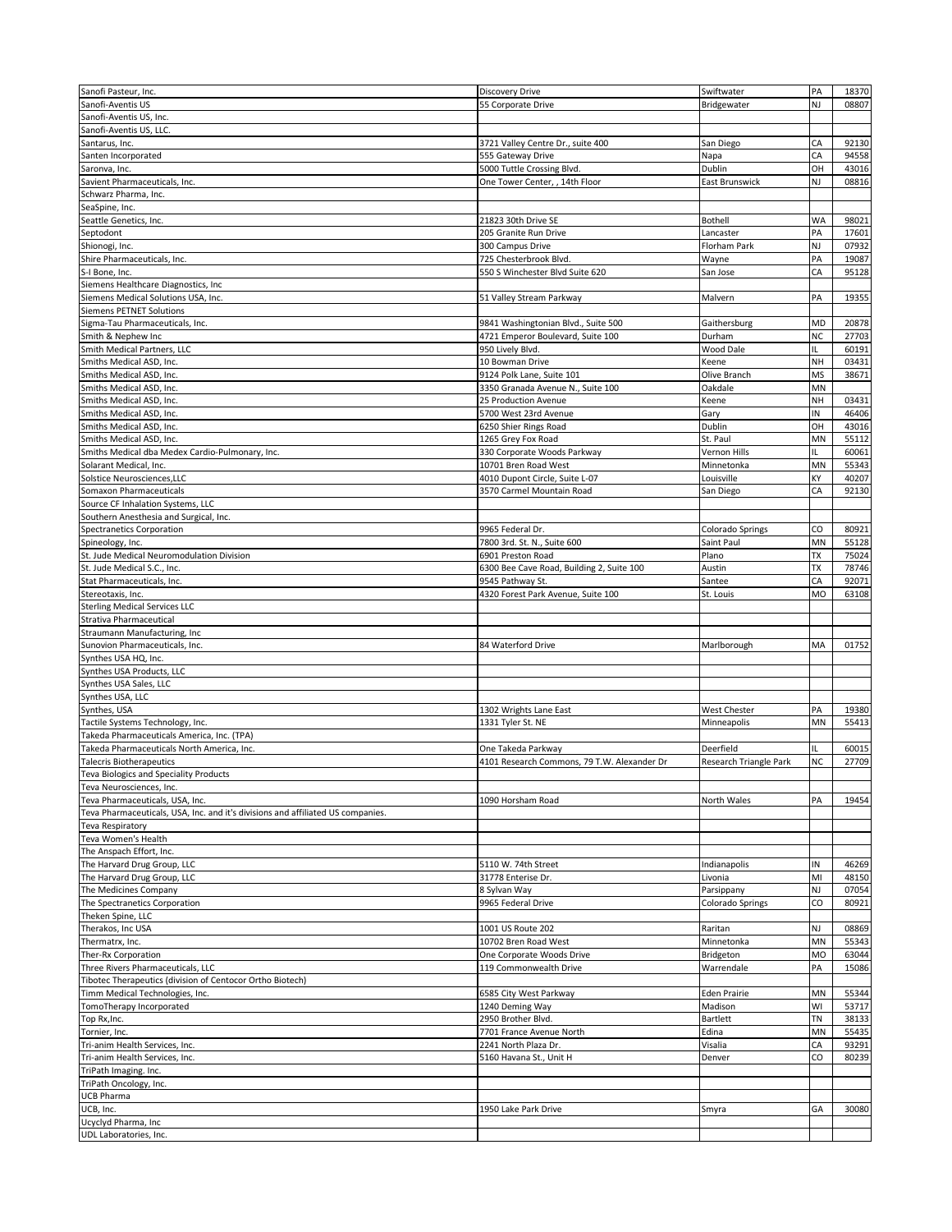| Sanofi Pasteur, Inc.                                                            | <b>Discovery Drive</b>                      | Swiftwater              | PA        | 18370 |
|---------------------------------------------------------------------------------|---------------------------------------------|-------------------------|-----------|-------|
| Sanofi-Aventis US                                                               | 55 Corporate Drive                          | Bridgewater             | NJ        | 08807 |
|                                                                                 |                                             |                         |           |       |
| Sanofi-Aventis US, Inc.                                                         |                                             |                         |           |       |
| Sanofi-Aventis US, LLC.                                                         |                                             |                         |           |       |
| Santarus, Inc.                                                                  | 3721 Valley Centre Dr., suite 400           | San Diego               | СA        | 92130 |
| Santen Incorporated                                                             | 555 Gateway Drive                           | Napa                    | CA        | 94558 |
| Saronva, Inc.                                                                   | 5000 Tuttle Crossing Blvd.                  | Dublin                  | OН        | 43016 |
| Savient Pharmaceuticals, Inc.                                                   | One Tower Center, , 14th Floor              | East Brunswick          | NJ        | 08816 |
| Schwarz Pharma, Inc.                                                            |                                             |                         |           |       |
| SeaSpine, Inc.                                                                  |                                             |                         |           |       |
| Seattle Genetics, Inc.                                                          | 21823 30th Drive SE                         | Bothell                 | WA        | 98021 |
| Septodont                                                                       | 205 Granite Run Drive                       | Lancaster               | PA        | 17601 |
| Shionogi, Inc.                                                                  | 300 Campus Drive                            | Florham Park            | NJ        | 07932 |
| Shire Pharmaceuticals, Inc.                                                     | 725 Chesterbrook Blvd.                      | Wayne                   | PA        | 19087 |
| S-I Bone, Inc.                                                                  | 550 S Winchester Blvd Suite 620             | San Jose                | СA        | 95128 |
| Siemens Healthcare Diagnostics, Inc                                             |                                             |                         |           |       |
| Siemens Medical Solutions USA, Inc.                                             | 51 Valley Stream Parkway                    | Malvern                 | PA        | 19355 |
| <b>Siemens PETNET Solutions</b>                                                 |                                             |                         |           |       |
| Sigma-Tau Pharmaceuticals, Inc.                                                 | 9841 Washingtonian Blvd., Suite 500         | Gaithersburg            | MD        | 20878 |
| Smith & Nephew Inc                                                              | 4721 Emperor Boulevard, Suite 100           | Durham                  | NC        | 27703 |
| Smith Medical Partners, LLC                                                     | 950 Lively Blvd.                            | Wood Dale               | IL.       | 60191 |
| Smiths Medical ASD, Inc.                                                        | 10 Bowman Drive                             | Keene                   | NH        | 03431 |
| Smiths Medical ASD, Inc.                                                        | 9124 Polk Lane, Suite 101                   | Olive Branch            | MS        | 38671 |
| Smiths Medical ASD, Inc.                                                        | 3350 Granada Avenue N., Suite 100           | Oakdale                 | MN        |       |
| Smiths Medical ASD, Inc.                                                        | 25 Production Avenue                        | Keene                   | NΗ        | 03431 |
| Smiths Medical ASD, Inc.                                                        | 5700 West 23rd Avenue                       | Gary                    | IN        | 46406 |
| Smiths Medical ASD, Inc.                                                        | 6250 Shier Rings Road                       | Dublin                  | ОН        | 43016 |
| Smiths Medical ASD, Inc.                                                        | 1265 Grey Fox Road                          | St. Paul                | MN        | 55112 |
| Smiths Medical dba Medex Cardio-Pulmonary, Inc.                                 | 330 Corporate Woods Parkway                 | Vernon Hills            | IL.       | 60061 |
| Solarant Medical, Inc.                                                          | 10701 Bren Road West                        | Minnetonka              | MΝ        | 55343 |
| Solstice Neurosciences, LLC                                                     |                                             | Louisville              | KΥ        | 40207 |
|                                                                                 | 4010 Dupont Circle, Suite L-07              |                         |           |       |
| Somaxon Pharmaceuticals                                                         | 3570 Carmel Mountain Road                   | San Diego               | СA        | 92130 |
| Source CF Inhalation Systems, LLC                                               |                                             |                         |           |       |
| Southern Anesthesia and Surgical, Inc.                                          |                                             |                         |           |       |
| Spectranetics Corporation                                                       | 9965 Federal Dr.                            | <b>Colorado Springs</b> | CO        | 80921 |
| Spineology, Inc.                                                                | 7800 3rd. St. N., Suite 600                 | Saint Paul              | MN        | 55128 |
| St. Jude Medical Neuromodulation Division                                       | 6901 Preston Road                           | Plano                   | ТX        | 75024 |
| St. Jude Medical S.C., Inc.                                                     | 6300 Bee Cave Road, Building 2, Suite 100   | Austin                  | <b>TX</b> | 78746 |
| Stat Pharmaceuticals, Inc.                                                      | 9545 Pathway St.                            | Santee                  | CA        | 92071 |
| Stereotaxis, Inc.                                                               | 4320 Forest Park Avenue, Suite 100          | St. Louis               | MO        | 63108 |
| <b>Sterling Medical Services LLC</b>                                            |                                             |                         |           |       |
| Strativa Pharmaceutical                                                         |                                             |                         |           |       |
| Straumann Manufacturing, Inc.                                                   |                                             |                         |           |       |
| Sunovion Pharmaceuticals, Inc.                                                  | 84 Waterford Drive                          | Marlborough             | MA        | 01752 |
| Synthes USA HQ, Inc.                                                            |                                             |                         |           |       |
| Synthes USA Products, LLC                                                       |                                             |                         |           |       |
| Synthes USA Sales, LLC                                                          |                                             |                         |           |       |
| Synthes USA, LLC                                                                |                                             |                         |           |       |
| Synthes, USA                                                                    | 1302 Wrights Lane East                      | <b>West Chester</b>     | PA        | 19380 |
| Tactile Systems Technology, Inc.                                                | 1331 Tyler St. NE                           | Minneapolis             | MN        | 55413 |
| Takeda Pharmaceuticals America, Inc. (TPA)                                      |                                             |                         |           |       |
| Takeda Pharmaceuticals North America, Inc.                                      | One Takeda Parkway                          | Deerfield               | IL        | 60015 |
| <b>Talecris Biotherapeutics</b>                                                 | 4101 Research Commons, 79 T.W. Alexander Dr | Research Triangle Park  | NC        | 27709 |
| Teva Biologics and Speciality Products                                          |                                             |                         |           |       |
| Teva Neurosciences, Inc.                                                        |                                             |                         |           |       |
| Teva Pharmaceuticals, USA, Inc.                                                 | 1090 Horsham Road                           | North Wales             | PA        | 19454 |
| Teva Pharmaceuticals, USA, Inc. and it's divisions and affiliated US companies. |                                             |                         |           |       |
| Teva Respiratory                                                                |                                             |                         |           |       |
| Teva Women's Health                                                             |                                             |                         |           |       |
| The Anspach Effort, Inc.                                                        |                                             |                         |           |       |
| The Harvard Drug Group, LLC                                                     | 5110 W. 74th Street                         | Indianapolis            | IN        | 46269 |
| The Harvard Drug Group, LLC                                                     | 31778 Enterise Dr.                          | Livonia                 | MI        | 48150 |
| The Medicines Company                                                           | 8 Sylvan Way                                | Parsippany              | NJ        | 07054 |
| The Spectranetics Corporation                                                   | 9965 Federal Drive                          | <b>Colorado Springs</b> | CO        | 80921 |
| Theken Spine, LLC                                                               |                                             |                         |           |       |
| Therakos, Inc USA                                                               | 1001 US Route 202                           | Raritan                 | NJ        | 08869 |
| Thermatrx, Inc.                                                                 | 10702 Bren Road West                        | Minnetonka              | MN        | 55343 |
| Ther-Rx Corporation                                                             | One Corporate Woods Drive                   | Bridgeton               | MO        | 63044 |
| Three Rivers Pharmaceuticals, LLC                                               | 119 Commonwealth Drive                      | Warrendale              | PA        | 15086 |
| Tibotec Therapeutics (division of Centocor Ortho Biotech)                       |                                             |                         |           |       |
| Timm Medical Technologies, Inc.                                                 | 6585 City West Parkway                      | Eden Prairie            | MN        | 55344 |
| TomoTherapy Incorporated                                                        | 1240 Deming Way                             | Madison                 | WI        | 53717 |
| Top Rx, Inc.                                                                    | 2950 Brother Blvd.                          | Bartlett                | TN        | 38133 |
| Tornier, Inc.                                                                   | 7701 France Avenue North                    | Edina                   | MN        | 55435 |
| Tri-anim Health Services, Inc.                                                  | 2241 North Plaza Dr.                        | Visalia                 | СA        | 93291 |
| Tri-anim Health Services, Inc.                                                  |                                             | Denver                  | CO        | 80239 |
|                                                                                 |                                             |                         |           |       |
| TriPath Imaging. Inc.                                                           | 5160 Havana St., Unit H                     |                         |           |       |
|                                                                                 |                                             |                         |           |       |
| TriPath Oncology, Inc.                                                          |                                             |                         |           |       |
| UCB Pharma                                                                      |                                             |                         |           |       |
| UCB, Inc.                                                                       | 1950 Lake Park Drive                        | Smyra                   | GA        | 30080 |
| Ucyclyd Pharma, Inc<br>UDL Laboratories, Inc.                                   |                                             |                         |           |       |